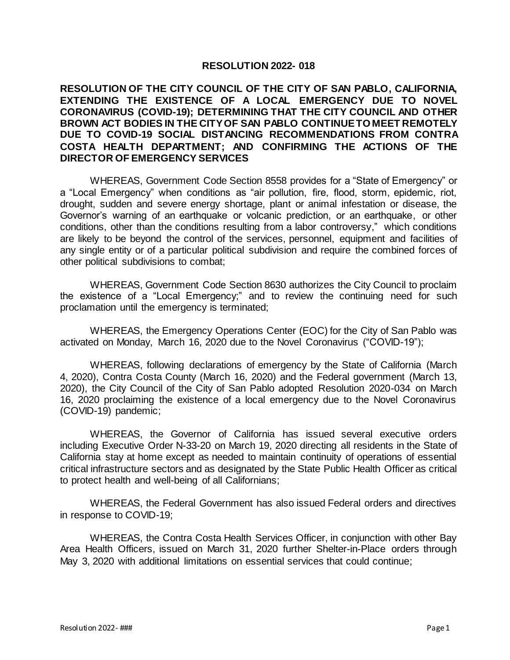## **RESOLUTION 2022- 018**

## **RESOLUTION OF THE CITY COUNCIL OF THE CITY OF SAN PABLO, CALIFORNIA, EXTENDING THE EXISTENCE OF A LOCAL EMERGENCY DUE TO NOVEL CORONAVIRUS (COVID-19); DETERMINING THAT THE CITY COUNCIL AND OTHER BROWN ACT BODIES IN THE CITY OF SAN PABLO CONTINUE TO MEET REMOTELY DUE TO COVID-19 SOCIAL DISTANCING RECOMMENDATIONS FROM CONTRA COSTA HEALTH DEPARTMENT; AND CONFIRMING THE ACTIONS OF THE DIRECTOR OF EMERGENCY SERVICES**

WHEREAS, Government Code Section 8558 provides for a "State of Emergency" or a "Local Emergency" when conditions as "air pollution, fire, flood, storm, epidemic, riot, drought, sudden and severe energy shortage, plant or animal infestation or disease, the Governor's warning of an earthquake or volcanic prediction, or an earthquake, or other conditions, other than the conditions resulting from a labor controversy," which conditions are likely to be beyond the control of the services, personnel, equipment and facilities of any single entity or of a particular political subdivision and require the combined forces of other political subdivisions to combat;

WHEREAS, Government Code Section 8630 authorizes the City Council to proclaim the existence of a "Local Emergency;" and to review the continuing need for such proclamation until the emergency is terminated;

WHEREAS, the Emergency Operations Center (EOC) for the City of San Pablo was activated on Monday, March 16, 2020 due to the Novel Coronavirus ("COVID-19");

WHEREAS, following declarations of emergency by the State of California (March 4, 2020), Contra Costa County (March 16, 2020) and the Federal government (March 13, 2020), the City Council of the City of San Pablo adopted Resolution 2020-034 on March 16, 2020 proclaiming the existence of a local emergency due to the Novel Coronavirus (COVID-19) pandemic;

WHEREAS, the Governor of California has issued several executive orders including Executive Order N-33-20 on March 19, 2020 directing all residents in the State of California stay at home except as needed to maintain continuity of operations of essential critical infrastructure sectors and as designated by the State Public Health Officer as critical to protect health and well-being of all Californians;

WHEREAS, the Federal Government has also issued Federal orders and directives in response to COVID-19;

WHEREAS, the Contra Costa Health Services Officer, in conjunction with other Bay Area Health Officers, issued on March 31, 2020 further Shelter-in-Place orders through May 3, 2020 with additional limitations on essential services that could continue;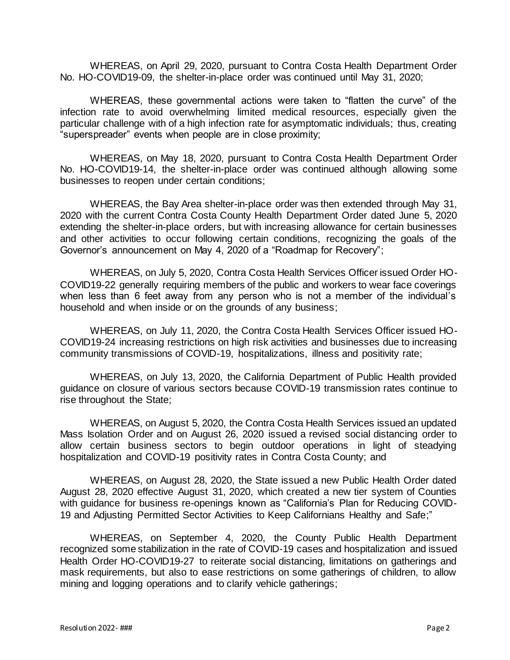WHEREAS, on April 29, 2020, pursuant to Contra Costa Health Department Order No. HO-COVID19-09, the shelter-in-place order was continued until May 31, 2020;

WHEREAS, these governmental actions were taken to "flatten the curve" of the infection rate to avoid overwhelming limited medical resources, especially given the particular challenge with of a high infection rate for asymptomatic individuals; thus, creating "superspreader" events when people are in close proximity;

WHEREAS, on May 18, 2020, pursuant to Contra Costa Health Department Order No. HO-COVID19-14, the shelter-in-place order was continued although allowing some businesses to reopen under certain conditions;

WHEREAS, the Bay Area shelter-in-place order was then extended through May 31, 2020 with the current Contra Costa County Health Department Order dated June 5, 2020 extending the shelter-in-place orders, but with increasing allowance for certain businesses and other activities to occur following certain conditions, recognizing the goals of the Governor's announcement on May 4, 2020 of a "Roadmap for Recovery";

WHEREAS, on July 5, 2020, Contra Costa Health Services Officer issued Order HO-COVID19-22 generally requiring members of the public and workers to wear face coverings when less than 6 feet away from any person who is not a member of the individual's household and when inside or on the grounds of any business;

WHEREAS, on July 11, 2020, the Contra Costa Health Services Officer issued HO-COVID19-24 increasing restrictions on high risk activities and businesses due to increasing community transmissions of COVID-19, hospitalizations, illness and positivity rate;

WHEREAS, on July 13, 2020, the California Department of Public Health provided guidance on closure of various sectors because COVID-19 transmission rates continue to rise throughout the State;

WHEREAS, on August 5, 2020, the Contra Costa Health Services issued an updated Mass Isolation Order and on August 26, 2020 issued a revised social distancing order to allow certain business sectors to begin outdoor operations in light of steadying hospitalization and COVID-19 positivity rates in Contra Costa County; and

WHEREAS, on August 28, 2020, the State issued a new Public Health Order dated August 28, 2020 effective August 31, 2020, which created a new tier system of Counties with guidance for business re-openings known as "California's Plan for Reducing COVID-19 and Adjusting Permitted Sector Activities to Keep Californians Healthy and Safe;"

WHEREAS, on September 4, 2020, the County Public Health Department recognized some stabilization in the rate of COVID-19 cases and hospitalization and issued Health Order HO-COVID19-27 to reiterate social distancing, limitations on gatherings and mask requirements, but also to ease restrictions on some gatherings of children, to allow mining and logging operations and to clarify vehicle gatherings;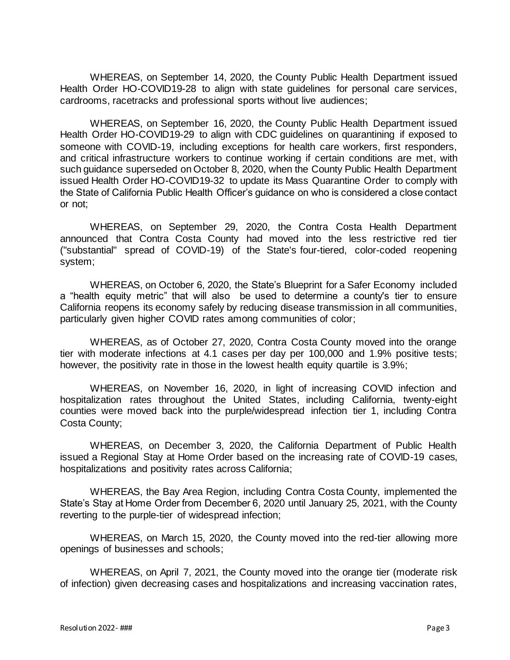WHEREAS, on September 14, 2020, the County Public Health Department issued Health Order HO-COVID19-28 to align with state guidelines for personal care services, cardrooms, racetracks and professional sports without live audiences;

WHEREAS, on September 16, 2020, the County Public Health Department issued Health Order HO-COVID19-29 to align with CDC guidelines on quarantining if exposed to someone with COVID-19, including exceptions for health care workers, first responders, and critical infrastructure workers to continue working if certain conditions are met, with such guidance superseded on October 8, 2020, when the County Public Health Department issued Health Order HO-COVID19-32 to update its Mass Quarantine Order to comply with the State of California Public Health Officer's guidance on who is considered a close contact or not;

WHEREAS, on September 29, 2020, the Contra Costa Health Department announced that Contra Costa County had moved into the less restrictive red tier ("substantial" spread of COVID-19) of the State's [four-tiered, color-coded reopening](https://covid19.ca.gov/safer-economy/)  [system;](https://covid19.ca.gov/safer-economy/)

WHEREAS, on October 6, 2020, the State's [Blueprint for a Safer Economy](https://www.cdph.ca.gov/Programs/CID/DCDC/Pages/COVID-19/COVID19CountyMonitoringOverview.aspx) included a "health equity metric" that will also be used to determine a county's tier to ensure California reopens its economy safely by reducing disease transmission in all communities, particularly given higher COVID rates among communities of color;

WHEREAS, as of October 27, 2020, Contra Costa County moved into the orange tier with moderate infections at 4.1 cases per day per 100,000 and 1.9% positive tests; however, the positivity rate in those in the lowest health equity quartile is 3.9%;

WHEREAS, on November 16, 2020, in light of increasing COVID infection and hospitalization rates throughout the United States, including California, twenty-eight counties were moved back into the purple/widespread infection tier 1, including Contra Costa County;

WHEREAS, on December 3, 2020, the California Department of Public Health issued a Regional Stay at Home Order based on the increasing rate of COVID-19 cases, hospitalizations and positivity rates across California;

WHEREAS, the Bay Area Region, including Contra Costa County, implemented the State's Stay at Home Order from December 6, 2020 until January 25, 2021, with the County reverting to the purple-tier of widespread infection;

WHEREAS, on March 15, 2020, the County moved into the red-tier allowing more openings of businesses and schools;

WHEREAS, on April 7, 2021, the County moved into the orange tier (moderate risk of infection) given decreasing cases and hospitalizations and increasing vaccination rates,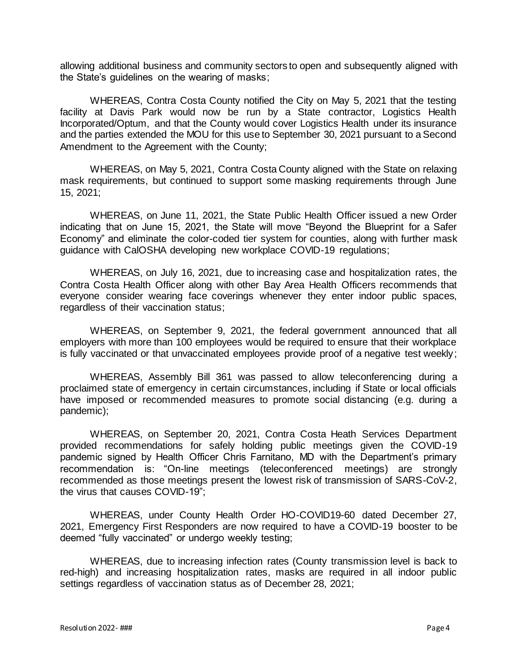allowing additional business and community sectors to open and subsequently aligned with the State's guidelines on the wearing of masks;

WHEREAS, Contra Costa County notified the City on May 5, 2021 that the testing facility at Davis Park would now be run by a State contractor, Logistics Health Incorporated/Optum, and that the County would cover Logistics Health under its insurance and the parties extended the MOU for this use to September 30, 2021 pursuant to a Second Amendment to the Agreement with the County;

WHEREAS, on May 5, 2021, Contra Costa County aligned with the State on relaxing mask requirements, but continued to support some masking requirements through June 15, 2021;

WHEREAS, on June 11, 2021, the State Public Health Officer issued a new Order indicating that on June 15, 2021, the State will move "Beyond the Blueprint for a Safer Economy" and eliminate the color-coded tier system for counties, along with further mask guidance with CalOSHA developing new workplace COVID-19 regulations;

WHEREAS, on July 16, 2021, due to increasing case and hospitalization rates, the Contra Costa Health Officer along with other Bay Area Health Officers recommends that everyone consider wearing face coverings whenever they enter indoor public spaces, regardless of their vaccination status;

WHEREAS, on September 9, 2021, the federal government announced that all employers with more than 100 employees would be required to ensure that their workplace is fully vaccinated or that unvaccinated employees provide proof of a negative test weekly;

WHEREAS, Assembly Bill 361 was passed to allow teleconferencing during a proclaimed state of emergency in certain circumstances, including if State or local officials have imposed or recommended measures to promote social distancing (e.g. during a pandemic);

WHEREAS, on September 20, 2021, Contra Costa Heath Services Department provided recommendations for safely holding public meetings given the COVID-19 pandemic signed by Health Officer Chris Farnitano, MD with the Department's primary recommendation is: "On-line meetings (teleconferenced meetings) are strongly recommended as those meetings present the lowest risk of transmission of SARS-CoV-2, the virus that causes COVID-19";

WHEREAS, under County Health Order HO-COVID19-60 dated December 27, 2021, Emergency First Responders are now required to have a COVID-19 booster to be deemed "fully vaccinated" or undergo weekly testing;

WHEREAS, due to increasing infection rates (County transmission level is back to red-high) and increasing hospitalization rates, masks are required in all indoor public settings regardless of vaccination status as of December 28, 2021;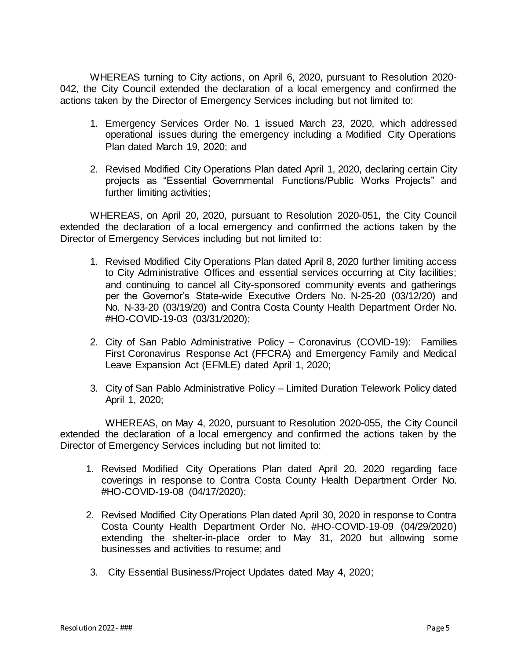WHEREAS turning to City actions, on April 6, 2020, pursuant to Resolution 2020- 042, the City Council extended the declaration of a local emergency and confirmed the actions taken by the Director of Emergency Services including but not limited to:

- 1. Emergency Services Order No. 1 issued March 23, 2020, which addressed operational issues during the emergency including a Modified City Operations Plan dated March 19, 2020; and
- 2. Revised Modified City Operations Plan dated April 1, 2020, declaring certain City projects as "Essential Governmental Functions/Public Works Projects" and further limiting activities;

WHEREAS, on April 20, 2020, pursuant to Resolution 2020-051, the City Council extended the declaration of a local emergency and confirmed the actions taken by the Director of Emergency Services including but not limited to:

- 1. Revised Modified City Operations Plan dated April 8, 2020 further limiting access to City Administrative Offices and essential services occurring at City facilities; and continuing to cancel all City-sponsored community events and gatherings per the Governor's State-wide Executive Orders No. N-25-20 (03/12/20) and No. N-33-20 (03/19/20) and Contra Costa County Health Department Order No. #HO-COVID-19-03 (03/31/2020);
- 2. City of San Pablo Administrative Policy Coronavirus (COVID-19): Families First Coronavirus Response Act (FFCRA) and Emergency Family and Medical Leave Expansion Act (EFMLE) dated April 1, 2020;
- 3. City of San Pablo Administrative Policy Limited Duration Telework Policy dated April 1, 2020;

WHEREAS, on May 4, 2020, pursuant to Resolution 2020-055, the City Council extended the declaration of a local emergency and confirmed the actions taken by the Director of Emergency Services including but not limited to:

- 1. Revised Modified City Operations Plan dated April 20, 2020 regarding face coverings in response to Contra Costa County Health Department Order No. #HO-COVID-19-08 (04/17/2020);
- 2. Revised Modified City Operations Plan dated April 30, 2020 in response to Contra Costa County Health Department Order No. #HO-COVID-19-09 (04/29/2020) extending the shelter-in-place order to May 31, 2020 but allowing some businesses and activities to resume; and
- 3. City Essential Business/Project Updates dated May 4, 2020;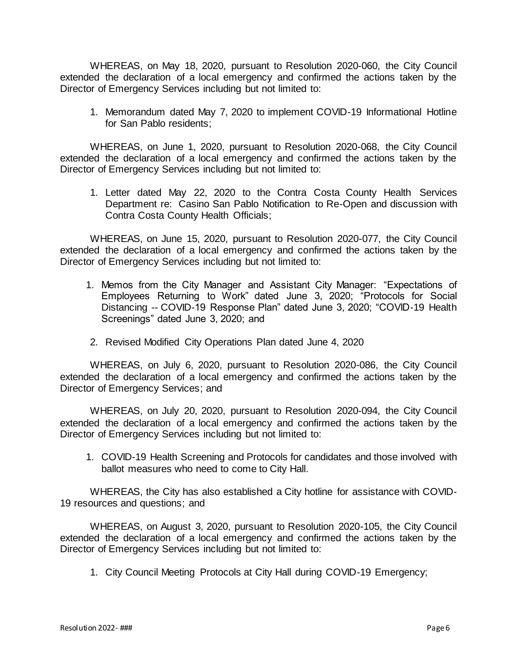WHEREAS, on May 18, 2020, pursuant to Resolution 2020-060, the City Council extended the declaration of a local emergency and confirmed the actions taken by the Director of Emergency Services including but not limited to:

1. Memorandum dated May 7, 2020 to implement COVID-19 Informational Hotline for San Pablo residents;

WHEREAS, on June 1, 2020, pursuant to Resolution 2020-068, the City Council extended the declaration of a local emergency and confirmed the actions taken by the Director of Emergency Services including but not limited to:

1. Letter dated May 22, 2020 to the Contra Costa County Health Services Department re: Casino San Pablo Notification to Re-Open and discussion with Contra Costa County Health Officials;

WHEREAS, on June 15, 2020, pursuant to Resolution 2020-077, the City Council extended the declaration of a local emergency and confirmed the actions taken by the Director of Emergency Services including but not limited to:

- 1. Memos from the City Manager and Assistant City Manager: "Expectations of Employees Returning to Work" dated June 3, 2020; "Protocols for Social Distancing -- COVID-19 Response Plan" dated June 3, 2020; "COVID-19 Health Screenings" dated June 3, 2020; and
- 2. Revised Modified City Operations Plan dated June 4, 2020

WHEREAS, on July 6, 2020, pursuant to Resolution 2020-086, the City Council extended the declaration of a local emergency and confirmed the actions taken by the Director of Emergency Services; and

WHEREAS, on July 20, 2020, pursuant to Resolution 2020-094, the City Council extended the declaration of a local emergency and confirmed the actions taken by the Director of Emergency Services including but not limited to:

1. COVID-19 Health Screening and Protocols for candidates and those involved with ballot measures who need to come to City Hall.

WHEREAS, the City has also established a City hotline for assistance with COVID-19 resources and questions; and

WHEREAS, on August 3, 2020, pursuant to Resolution 2020-105, the City Council extended the declaration of a local emergency and confirmed the actions taken by the Director of Emergency Services including but not limited to:

1. City Council Meeting Protocols at City Hall during COVID-19 Emergency;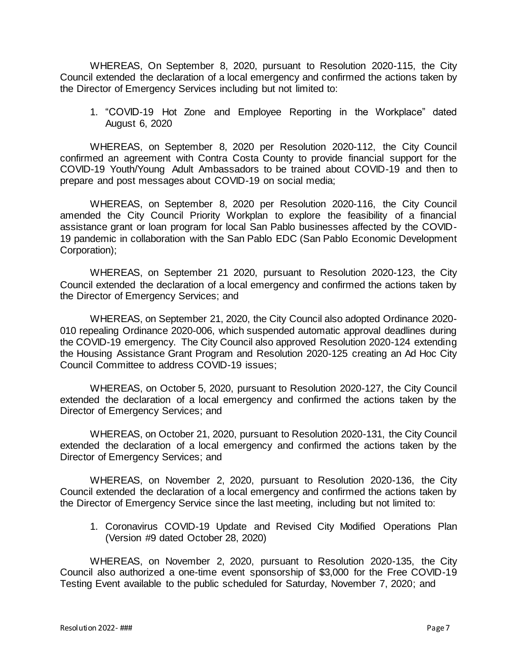WHEREAS, On September 8, 2020, pursuant to Resolution 2020-115, the City Council extended the declaration of a local emergency and confirmed the actions taken by the Director of Emergency Services including but not limited to:

1. "COVID-19 Hot Zone and Employee Reporting in the Workplace" dated August 6, 2020

WHEREAS, on September 8, 2020 per Resolution 2020-112, the City Council confirmed an agreement with Contra Costa County to provide financial support for the COVID-19 Youth/Young Adult Ambassadors to be trained about COVID-19 and then to prepare and post messages about COVID-19 on social media;

WHEREAS, on September 8, 2020 per Resolution 2020-116, the City Council amended the City Council Priority Workplan to explore the feasibility of a financial assistance grant or loan program for local San Pablo businesses affected by the COVID-19 pandemic in collaboration with the San Pablo EDC (San Pablo Economic Development Corporation);

WHEREAS, on September 21 2020, pursuant to Resolution 2020-123, the City Council extended the declaration of a local emergency and confirmed the actions taken by the Director of Emergency Services; and

WHEREAS, on September 21, 2020, the City Council also adopted Ordinance 2020- 010 repealing Ordinance 2020-006, which suspended automatic approval deadlines during the COVID-19 emergency. The City Council also approved Resolution 2020-124 extending the Housing Assistance Grant Program and Resolution 2020-125 creating an Ad Hoc City Council Committee to address COVID-19 issues;

WHEREAS, on October 5, 2020, pursuant to Resolution 2020-127, the City Council extended the declaration of a local emergency and confirmed the actions taken by the Director of Emergency Services; and

WHEREAS, on October 21, 2020, pursuant to Resolution 2020-131, the City Council extended the declaration of a local emergency and confirmed the actions taken by the Director of Emergency Services; and

WHEREAS, on November 2, 2020, pursuant to Resolution 2020-136, the City Council extended the declaration of a local emergency and confirmed the actions taken by the Director of Emergency Service since the last meeting, including but not limited to:

1. Coronavirus COVID-19 Update and Revised City Modified Operations Plan (Version #9 dated October 28, 2020)

WHEREAS, on November 2, 2020, pursuant to Resolution 2020-135, the City Council also authorized a one-time event sponsorship of \$3,000 for the Free COVID-19 Testing Event available to the public scheduled for Saturday, November 7, 2020; and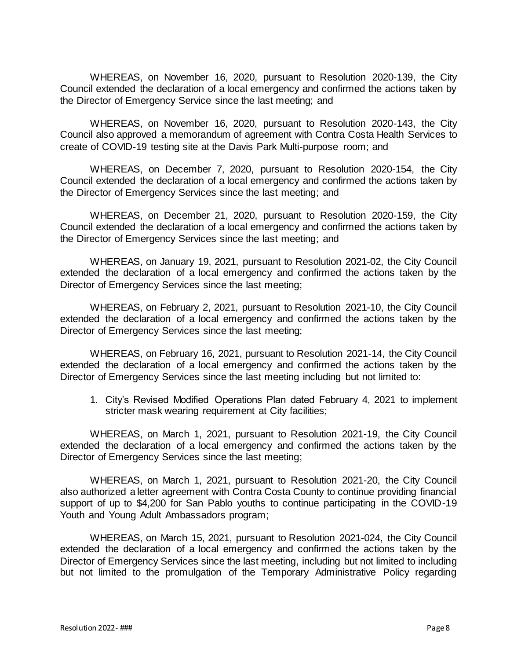WHEREAS, on November 16, 2020, pursuant to Resolution 2020-139, the City Council extended the declaration of a local emergency and confirmed the actions taken by the Director of Emergency Service since the last meeting; and

WHEREAS, on November 16, 2020, pursuant to Resolution 2020-143, the City Council also approved a memorandum of agreement with Contra Costa Health Services to create of COVID-19 testing site at the Davis Park Multi-purpose room; and

WHEREAS, on December 7, 2020, pursuant to Resolution 2020-154, the City Council extended the declaration of a local emergency and confirmed the actions taken by the Director of Emergency Services since the last meeting; and

WHEREAS, on December 21, 2020, pursuant to Resolution 2020-159, the City Council extended the declaration of a local emergency and confirmed the actions taken by the Director of Emergency Services since the last meeting; and

WHEREAS, on January 19, 2021, pursuant to Resolution 2021-02, the City Council extended the declaration of a local emergency and confirmed the actions taken by the Director of Emergency Services since the last meeting;

WHEREAS, on February 2, 2021, pursuant to Resolution 2021-10, the City Council extended the declaration of a local emergency and confirmed the actions taken by the Director of Emergency Services since the last meeting;

WHEREAS, on February 16, 2021, pursuant to Resolution 2021-14, the City Council extended the declaration of a local emergency and confirmed the actions taken by the Director of Emergency Services since the last meeting including but not limited to:

1. City's Revised Modified Operations Plan dated February 4, 2021 to implement stricter mask wearing requirement at City facilities;

WHEREAS, on March 1, 2021, pursuant to Resolution 2021-19, the City Council extended the declaration of a local emergency and confirmed the actions taken by the Director of Emergency Services since the last meeting;

WHEREAS, on March 1, 2021, pursuant to Resolution 2021-20, the City Council also authorized a letter agreement with Contra Costa County to continue providing financial support of up to \$4,200 for San Pablo youths to continue participating in the COVID-19 Youth and Young Adult Ambassadors program;

WHEREAS, on March 15, 2021, pursuant to Resolution 2021-024, the City Council extended the declaration of a local emergency and confirmed the actions taken by the Director of Emergency Services since the last meeting, including but not limited to including but not limited to the promulgation of the Temporary Administrative Policy regarding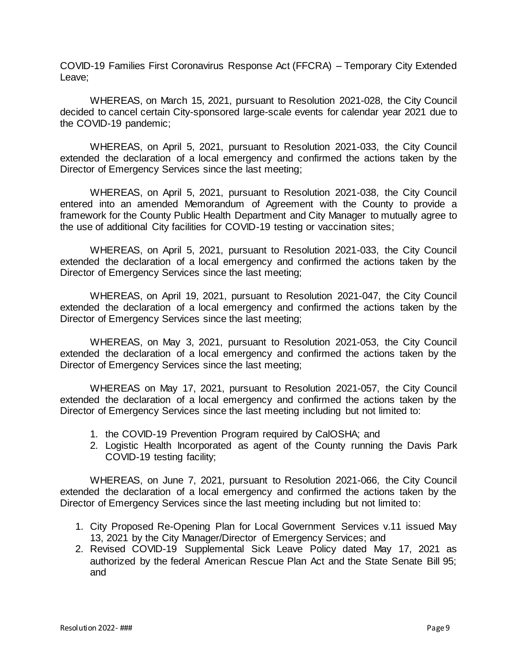COVID-19 Families First Coronavirus Response Act (FFCRA) – Temporary City Extended Leave;

WHEREAS, on March 15, 2021, pursuant to Resolution 2021-028, the City Council decided to cancel certain City-sponsored large-scale events for calendar year 2021 due to the COVID-19 pandemic;

WHEREAS, on April 5, 2021, pursuant to Resolution 2021-033, the City Council extended the declaration of a local emergency and confirmed the actions taken by the Director of Emergency Services since the last meeting;

WHEREAS, on April 5, 2021, pursuant to Resolution 2021-038, the City Council entered into an amended Memorandum of Agreement with the County to provide a framework for the County Public Health Department and City Manager to mutually agree to the use of additional City facilities for COVID-19 testing or vaccination sites;

WHEREAS, on April 5, 2021, pursuant to Resolution 2021-033, the City Council extended the declaration of a local emergency and confirmed the actions taken by the Director of Emergency Services since the last meeting;

WHEREAS, on April 19, 2021, pursuant to Resolution 2021-047, the City Council extended the declaration of a local emergency and confirmed the actions taken by the Director of Emergency Services since the last meeting;

WHEREAS, on May 3, 2021, pursuant to Resolution 2021-053, the City Council extended the declaration of a local emergency and confirmed the actions taken by the Director of Emergency Services since the last meeting;

WHEREAS on May 17, 2021, pursuant to Resolution 2021-057, the City Council extended the declaration of a local emergency and confirmed the actions taken by the Director of Emergency Services since the last meeting including but not limited to:

- 1. the COVID-19 Prevention Program required by CalOSHA; and
- 2. Logistic Health Incorporated as agent of the County running the Davis Park COVID-19 testing facility;

WHEREAS, on June 7, 2021, pursuant to Resolution 2021-066, the City Council extended the declaration of a local emergency and confirmed the actions taken by the Director of Emergency Services since the last meeting including but not limited to:

- 1. City Proposed Re-Opening Plan for Local Government Services v.11 issued May 13, 2021 by the City Manager/Director of Emergency Services; and
- 2. Revised COVID-19 Supplemental Sick Leave Policy dated May 17, 2021 as authorized by the federal American Rescue Plan Act and the State Senate Bill 95; and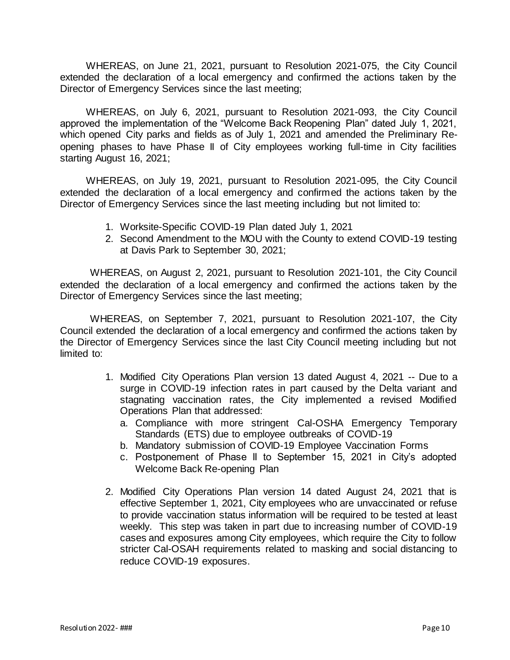WHEREAS, on June 21, 2021, pursuant to Resolution 2021-075, the City Council extended the declaration of a local emergency and confirmed the actions taken by the Director of Emergency Services since the last meeting;

WHEREAS, on July 6, 2021, pursuant to Resolution 2021-093, the City Council approved the implementation of the "Welcome Back Reopening Plan" dated July 1, 2021, which opened City parks and fields as of July 1, 2021 and amended the Preliminary Reopening phases to have Phase II of City employees working full-time in City facilities starting August 16, 2021;

WHEREAS, on July 19, 2021, pursuant to Resolution 2021-095, the City Council extended the declaration of a local emergency and confirmed the actions taken by the Director of Emergency Services since the last meeting including but not limited to:

- 1. Worksite-Specific COVID-19 Plan dated July 1, 2021
- 2. Second Amendment to the MOU with the County to extend COVID-19 testing at Davis Park to September 30, 2021;

WHEREAS, on August 2, 2021, pursuant to Resolution 2021-101, the City Council extended the declaration of a local emergency and confirmed the actions taken by the Director of Emergency Services since the last meeting;

WHEREAS, on September 7, 2021, pursuant to Resolution 2021-107, the City Council extended the declaration of a local emergency and confirmed the actions taken by the Director of Emergency Services since the last City Council meeting including but not limited to:

- 1. Modified City Operations Plan version 13 dated August 4, 2021 -- Due to a surge in COVID-19 infection rates in part caused by the Delta variant and stagnating vaccination rates, the City implemented a revised Modified Operations Plan that addressed:
	- a. Compliance with more stringent Cal-OSHA Emergency Temporary Standards (ETS) due to employee outbreaks of COVID-19
	- b. Mandatory submission of COVID-19 Employee Vaccination Forms
	- c. Postponement of Phase II to September 15, 2021 in City's adopted Welcome Back Re-opening Plan
- 2. Modified City Operations Plan version 14 dated August 24, 2021 that is effective September 1, 2021, City employees who are unvaccinated or refuse to provide vaccination status information will be required to be tested at least weekly. This step was taken in part due to increasing number of COVID-19 cases and exposures among City employees, which require the City to follow stricter Cal-OSAH requirements related to masking and social distancing to reduce COVID-19 exposures.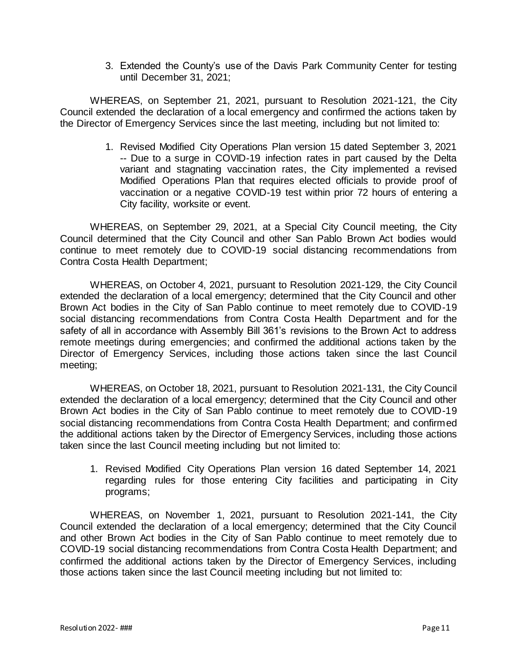3. Extended the County's use of the Davis Park Community Center for testing until December 31, 2021;

WHEREAS, on September 21, 2021, pursuant to Resolution 2021-121, the City Council extended the declaration of a local emergency and confirmed the actions taken by the Director of Emergency Services since the last meeting, including but not limited to:

> 1. Revised Modified City Operations Plan version 15 dated September 3, 2021 -- Due to a surge in COVID-19 infection rates in part caused by the Delta variant and stagnating vaccination rates, the City implemented a revised Modified Operations Plan that requires elected officials to provide proof of vaccination or a negative COVID-19 test within prior 72 hours of entering a City facility, worksite or event.

WHEREAS, on September 29, 2021, at a Special City Council meeting, the City Council determined that the City Council and other San Pablo Brown Act bodies would continue to meet remotely due to COVID-19 social distancing recommendations from Contra Costa Health Department;

WHEREAS, on October 4, 2021, pursuant to Resolution 2021-129, the City Council extended the declaration of a local emergency; determined that the City Council and other Brown Act bodies in the City of San Pablo continue to meet remotely due to COVID-19 social distancing recommendations from Contra Costa Health Department and for the safety of all in accordance with Assembly Bill 361's revisions to the Brown Act to address remote meetings during emergencies; and confirmed the additional actions taken by the Director of Emergency Services, including those actions taken since the last Council meeting;

WHEREAS, on October 18, 2021, pursuant to Resolution 2021-131, the City Council extended the declaration of a local emergency; determined that the City Council and other Brown Act bodies in the City of San Pablo continue to meet remotely due to COVID-19 social distancing recommendations from Contra Costa Health Department; and confirmed the additional actions taken by the Director of Emergency Services, including those actions taken since the last Council meeting including but not limited to:

1. Revised Modified City Operations Plan version 16 dated September 14, 2021 regarding rules for those entering City facilities and participating in City programs;

WHEREAS, on November 1, 2021, pursuant to Resolution 2021-141, the City Council extended the declaration of a local emergency; determined that the City Council and other Brown Act bodies in the City of San Pablo continue to meet remotely due to COVID-19 social distancing recommendations from Contra Costa Health Department; and confirmed the additional actions taken by the Director of Emergency Services, including those actions taken since the last Council meeting including but not limited to: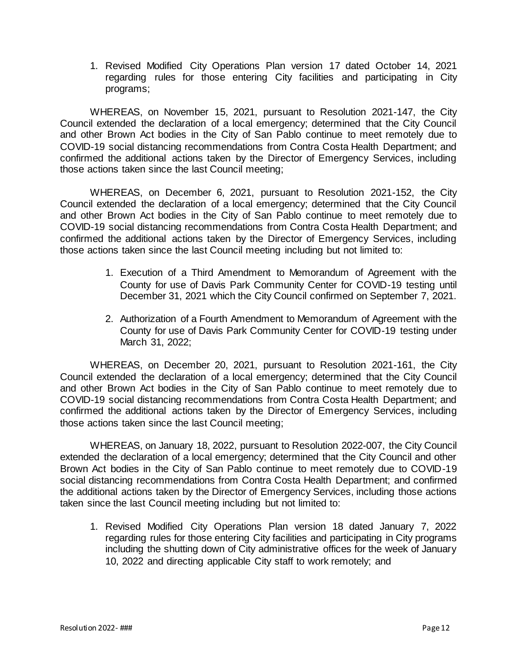1. Revised Modified City Operations Plan version 17 dated October 14, 2021 regarding rules for those entering City facilities and participating in City programs;

WHEREAS, on November 15, 2021, pursuant to Resolution 2021-147, the City Council extended the declaration of a local emergency; determined that the City Council and other Brown Act bodies in the City of San Pablo continue to meet remotely due to COVID-19 social distancing recommendations from Contra Costa Health Department; and confirmed the additional actions taken by the Director of Emergency Services, including those actions taken since the last Council meeting;

WHEREAS, on December 6, 2021, pursuant to Resolution 2021-152, the City Council extended the declaration of a local emergency; determined that the City Council and other Brown Act bodies in the City of San Pablo continue to meet remotely due to COVID-19 social distancing recommendations from Contra Costa Health Department; and confirmed the additional actions taken by the Director of Emergency Services, including those actions taken since the last Council meeting including but not limited to:

- 1. Execution of a Third Amendment to Memorandum of Agreement with the County for use of Davis Park Community Center for COVID-19 testing until December 31, 2021 which the City Council confirmed on September 7, 2021.
- 2. Authorization of a Fourth Amendment to Memorandum of Agreement with the County for use of Davis Park Community Center for COVID-19 testing under March 31, 2022;

WHEREAS, on December 20, 2021, pursuant to Resolution 2021-161, the City Council extended the declaration of a local emergency; determined that the City Council and other Brown Act bodies in the City of San Pablo continue to meet remotely due to COVID-19 social distancing recommendations from Contra Costa Health Department; and confirmed the additional actions taken by the Director of Emergency Services, including those actions taken since the last Council meeting;

WHEREAS, on January 18, 2022, pursuant to Resolution 2022-007, the City Council extended the declaration of a local emergency; determined that the City Council and other Brown Act bodies in the City of San Pablo continue to meet remotely due to COVID-19 social distancing recommendations from Contra Costa Health Department; and confirmed the additional actions taken by the Director of Emergency Services, including those actions taken since the last Council meeting including but not limited to:

1. Revised Modified City Operations Plan version 18 dated January 7, 2022 regarding rules for those entering City facilities and participating in City programs including the shutting down of City administrative offices for the week of January 10, 2022 and directing applicable City staff to work remotely; and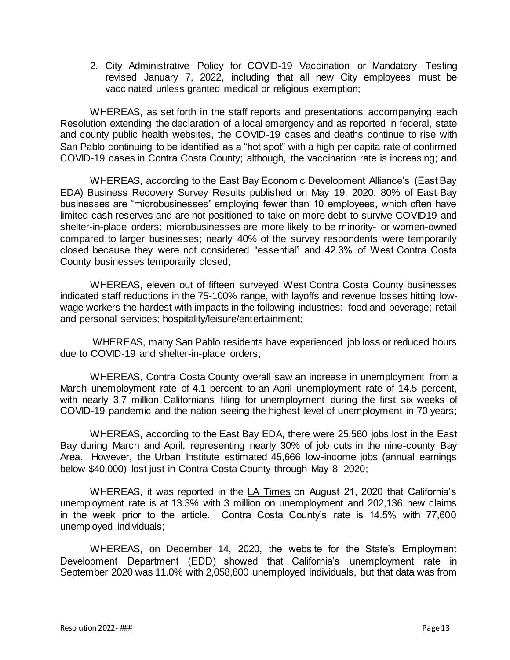2. City Administrative Policy for COVID-19 Vaccination or Mandatory Testing revised January 7, 2022, including that all new City employees must be vaccinated unless granted medical or religious exemption;

WHEREAS, as set forth in the staff reports and presentations accompanying each Resolution extending the declaration of a local emergency and as reported in federal, state and county public health websites, the COVID-19 cases and deaths continue to rise with San Pablo continuing to be identified as a "hot spot" with a high per capita rate of confirmed COVID-19 cases in Contra Costa County; although, the vaccination rate is increasing; and

WHEREAS, according to the East Bay Economic Development Alliance's (East Bay EDA) Business Recovery Survey Results published on May 19, 2020, 80% of East Bay businesses are "microbusinesses" employing fewer than 10 employees, which often have limited cash reserves and are not positioned to take on more debt to survive COVID19 and shelter-in-place orders; microbusinesses are more likely to be minority- or women-owned compared to larger businesses; nearly 40% of the survey respondents were temporarily closed because they were not considered "essential" and 42.3% of West Contra Costa County businesses temporarily closed;

WHEREAS, eleven out of fifteen surveyed West Contra Costa County businesses indicated staff reductions in the 75-100% range, with layoffs and revenue losses hitting lowwage workers the hardest with impacts in the following industries: food and beverage; retail and personal services; hospitality/leisure/entertainment;

WHEREAS, many San Pablo residents have experienced job loss or reduced hours due to COVID-19 and shelter-in-place orders;

WHEREAS, Contra Costa County overall saw an increase in unemployment from a March unemployment rate of 4.1 percent to an April unemployment rate of 14.5 percent, with nearly 3.7 million Californians filing for unemployment during the first six weeks of COVID-19 pandemic and the nation seeing the highest level of unemployment in 70 years;

WHEREAS, according to the East Bay EDA, there were 25,560 jobs lost in the East Bay during March and April, representing nearly 30% of job cuts in the nine-county Bay Area. However, the Urban Institute estimated 45,666 low-income jobs (annual earnings below \$40,000) lost just in Contra Costa County through May 8, 2020;

WHEREAS, it was reported in the LA Times on August 21, 2020 that California's unemployment rate is at 13.3% with 3 million on unemployment and 202,136 new claims in the week prior to the article. Contra Costa County's rate is 14.5% with 77,600 unemployed individuals;

WHEREAS, on December 14, 2020, the website for the State's Employment Development Department (EDD) showed that California's unemployment rate in September 2020 was 11.0% with 2,058,800 unemployed individuals, but that data was from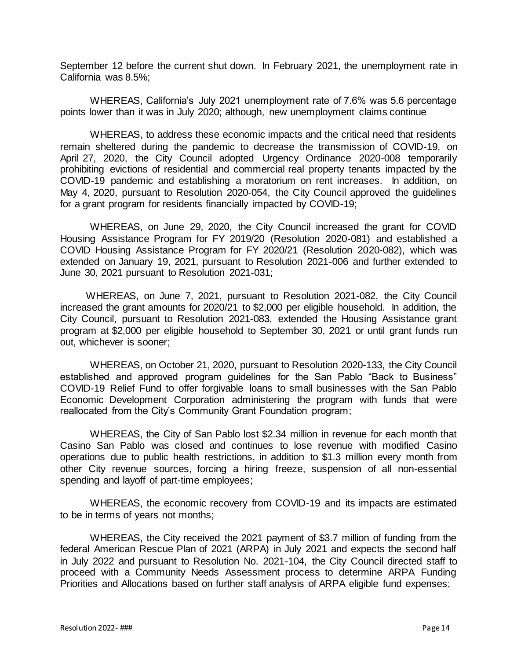September 12 before the current shut down. In February 2021, the unemployment rate in California was 8.5%;

WHEREAS, California's July 2021 unemployment rate of 7.6% was 5.6 percentage points lower than it was in July 2020; although, new unemployment claims continue

WHEREAS, to address these economic impacts and the critical need that residents remain sheltered during the pandemic to decrease the transmission of COVID-19, on April 27, 2020, the City Council adopted Urgency Ordinance 2020-008 temporarily prohibiting evictions of residential and commercial real property tenants impacted by the COVID-19 pandemic and establishing a moratorium on rent increases. In addition, on May 4, 2020, pursuant to Resolution 2020-054, the City Council approved the guidelines for a grant program for residents financially impacted by COVID-19;

WHEREAS, on June 29, 2020, the City Council increased the grant for COVID Housing Assistance Program for FY 2019/20 (Resolution 2020-081) and established a COVID Housing Assistance Program for FY 2020/21 (Resolution 2020-082), which was extended on January 19, 2021, pursuant to Resolution 2021-006 and further extended to June 30, 2021 pursuant to Resolution 2021-031;

WHEREAS, on June 7, 2021, pursuant to Resolution 2021-082, the City Council increased the grant amounts for 2020/21 to \$2,000 per eligible household. In addition, the City Council, pursuant to Resolution 2021-083, extended the Housing Assistance grant program at \$2,000 per eligible household to September 30, 2021 or until grant funds run out, whichever is sooner;

WHEREAS, on October 21, 2020, pursuant to Resolution 2020-133, the City Council established and approved program guidelines for the San Pablo "Back to Business" COVID-19 Relief Fund to offer forgivable loans to small businesses with the San Pablo Economic Development Corporation administering the program with funds that were reallocated from the City's Community Grant Foundation program;

WHEREAS, the City of San Pablo lost \$2.34 million in revenue for each month that Casino San Pablo was closed and continues to lose revenue with modified Casino operations due to public health restrictions, in addition to \$1.3 million every month from other City revenue sources, forcing a hiring freeze, suspension of all non-essential spending and layoff of part-time employees;

WHEREAS, the economic recovery from COVID-19 and its impacts are estimated to be in terms of years not months;

WHEREAS, the City received the 2021 payment of \$3.7 million of funding from the federal American Rescue Plan of 2021 (ARPA) in July 2021 and expects the second half in July 2022 and pursuant to Resolution No. 2021-104, the City Council directed staff to proceed with a Community Needs Assessment process to determine ARPA Funding Priorities and Allocations based on further staff analysis of ARPA eligible fund expenses;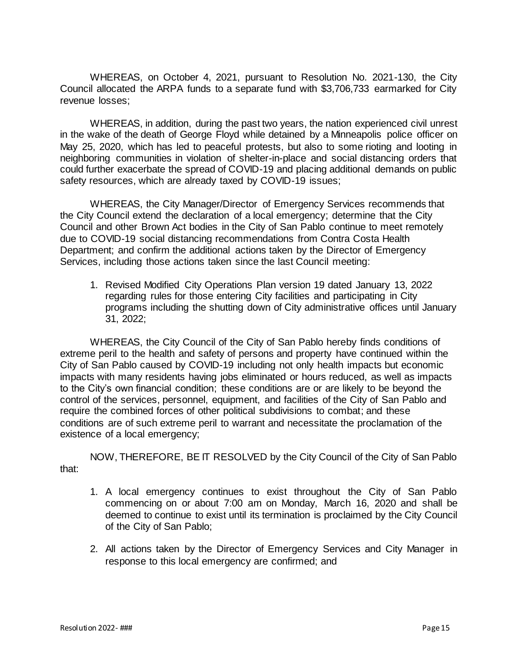WHEREAS, on October 4, 2021, pursuant to Resolution No. 2021-130, the City Council allocated the ARPA funds to a separate fund with \$3,706,733 earmarked for City revenue losses;

WHEREAS, in addition, during the past two years, the nation experienced civil unrest in the wake of the death of George Floyd while detained by a Minneapolis police officer on May 25, 2020, which has led to peaceful protests, but also to some rioting and looting in neighboring communities in violation of shelter-in-place and social distancing orders that could further exacerbate the spread of COVID-19 and placing additional demands on public safety resources, which are already taxed by COVID-19 issues;

WHEREAS, the City Manager/Director of Emergency Services recommends that the City Council extend the declaration of a local emergency; determine that the City Council and other Brown Act bodies in the City of San Pablo continue to meet remotely due to COVID-19 social distancing recommendations from Contra Costa Health Department; and confirm the additional actions taken by the Director of Emergency Services, including those actions taken since the last Council meeting:

1. Revised Modified City Operations Plan version 19 dated January 13, 2022 regarding rules for those entering City facilities and participating in City programs including the shutting down of City administrative offices until January 31, 2022;

WHEREAS, the City Council of the City of San Pablo hereby finds conditions of extreme peril to the health and safety of persons and property have continued within the City of San Pablo caused by COVID-19 including not only health impacts but economic impacts with many residents having jobs eliminated or hours reduced, as well as impacts to the City's own financial condition; these conditions are or are likely to be beyond the control of the services, personnel, equipment, and facilities of the City of San Pablo and require the combined forces of other political subdivisions to combat; and these conditions are of such extreme peril to warrant and necessitate the proclamation of the existence of a local emergency;

NOW, THEREFORE, BE IT RESOLVED by the City Council of the City of San Pablo that:

- 1. A local emergency continues to exist throughout the City of San Pablo commencing on or about 7:00 am on Monday, March 16, 2020 and shall be deemed to continue to exist until its termination is proclaimed by the City Council of the City of San Pablo;
- 2. All actions taken by the Director of Emergency Services and City Manager in response to this local emergency are confirmed; and